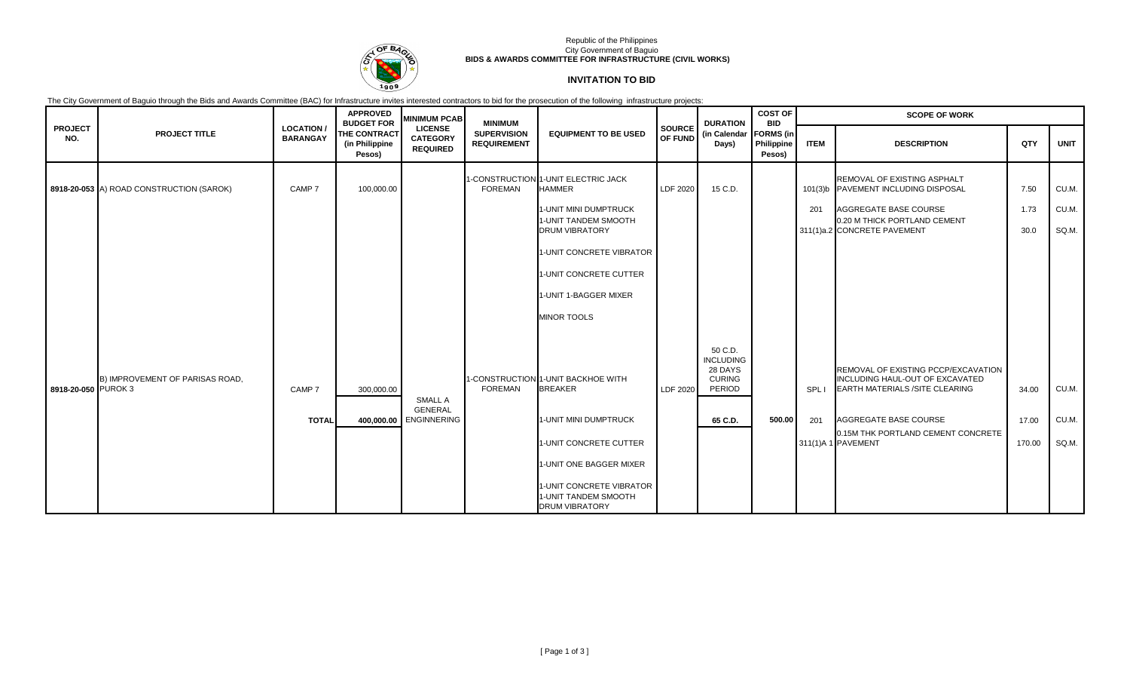

## Republic of the Philippines City Government of Baguio **BIDS & AWARDS COMMITTEE FOR INFRASTRUCTURE (CIVIL WORKS)**

# **INVITATION TO BID**

The City Government of Baguio through the Bids and Awards Committee (BAC) for Infrastructure invites interested contractors to bid for the prosecution of the following infrastructure projects:

|                       |                                          |                                     | <b>APPROVED</b><br><b>BUDGET FOR</b>            | <b>MINIMUM PCAB</b>                                  | <b>MINIMUM</b>                           |                                                                           |                                 | <b>DURATION</b>                                                   | <b>COST OF</b><br><b>BID</b>             | <b>SCOPE OF WORK</b> |                                                                                                                 |              |                |  |
|-----------------------|------------------------------------------|-------------------------------------|-------------------------------------------------|------------------------------------------------------|------------------------------------------|---------------------------------------------------------------------------|---------------------------------|-------------------------------------------------------------------|------------------------------------------|----------------------|-----------------------------------------------------------------------------------------------------------------|--------------|----------------|--|
| <b>PROJECT</b><br>NO. | <b>PROJECT TITLE</b>                     | <b>LOCATION/</b><br><b>BARANGAY</b> | <b>THE CONTRACT</b><br>(in Philippine<br>Pesos) | <b>LICENSE</b><br><b>CATEGORY</b><br><b>REQUIRED</b> | <b>SUPERVISION</b><br><b>REQUIREMENT</b> | <b>EQUIPMENT TO BE USED</b>                                               | <b>SOURCE</b><br><b>OF FUND</b> | (in Calendar<br>Days)                                             | <b>FORMS</b> (in<br>Philippine<br>Pesos) | <b>ITEM</b>          | <b>DESCRIPTION</b>                                                                                              | QTY          | <b>UNIT</b>    |  |
|                       | 8918-20-053 A) ROAD CONSTRUCTION (SAROK) | CAMP 7                              | 100,000.00                                      |                                                      | FOREMAN                                  | 1-CONSTRUCTION 1-UNIT ELECTRIC JACK<br><b>HAMMER</b>                      | LDF 2020                        | 15 C.D.                                                           |                                          |                      | REMOVAL OF EXISTING ASPHALT<br>101(3)b PAVEMENT INCLUDING DISPOSAL                                              | 7.50         | CU.M.          |  |
|                       |                                          |                                     |                                                 |                                                      |                                          | 1-UNIT MINI DUMPTRUCK<br>1-UNIT TANDEM SMOOTH<br><b>DRUM VIBRATORY</b>    |                                 |                                                                   |                                          | 201                  | AGGREGATE BASE COURSE<br>0.20 M THICK PORTLAND CEMENT<br>311(1)a.2 CONCRETE PAVEMENT                            | 1.73<br>30.0 | CU.M.<br>SQ.M. |  |
|                       |                                          |                                     |                                                 |                                                      |                                          | 1-UNIT CONCRETE VIBRATOR                                                  |                                 |                                                                   |                                          |                      |                                                                                                                 |              |                |  |
|                       |                                          |                                     |                                                 |                                                      |                                          | 1-UNIT CONCRETE CUTTER                                                    |                                 |                                                                   |                                          |                      |                                                                                                                 |              |                |  |
|                       |                                          |                                     |                                                 |                                                      |                                          | 1-UNIT 1-BAGGER MIXER                                                     |                                 |                                                                   |                                          |                      |                                                                                                                 |              |                |  |
|                       |                                          |                                     |                                                 |                                                      |                                          | <b>MINOR TOOLS</b>                                                        |                                 |                                                                   |                                          |                      |                                                                                                                 |              |                |  |
| 8918-20-050 PUROK 3   | B) IMPROVEMENT OF PARISAS ROAD.          | CAMP <sub>7</sub>                   | 300.000.00                                      | SMALL A                                              | FOREMAN                                  | 1-CONSTRUCTION 1-UNIT BACKHOE WITH<br><b>BREAKER</b>                      | LDF 2020                        | 50 C.D.<br><b>INCLUDING</b><br>28 DAYS<br><b>CURING</b><br>PERIOD |                                          | SPL I                | REMOVAL OF EXISTING PCCP/EXCAVATION<br>INCLUDING HAUL-OUT OF EXCAVATED<br><b>EARTH MATERIALS /SITE CLEARING</b> | 34.00        | CU.M.          |  |
|                       |                                          | <b>TOTAL</b>                        |                                                 | <b>GENERAL</b><br>400,000.00 ENGINNERING             |                                          | 1-UNIT MINI DUMPTRUCK                                                     |                                 | 65 C.D.                                                           | 500.00                                   | 201                  | AGGREGATE BASE COURSE                                                                                           | 17.00        | CU.M.          |  |
|                       |                                          |                                     |                                                 |                                                      |                                          | 1-UNIT CONCRETE CUTTER                                                    |                                 |                                                                   |                                          |                      | 0.15M THK PORTLAND CEMENT CONCRETE<br>311(1)A 1 PAVEMENT                                                        | 170.00       | SQ.M.          |  |
|                       |                                          |                                     |                                                 |                                                      |                                          | 1-UNIT ONE BAGGER MIXER                                                   |                                 |                                                                   |                                          |                      |                                                                                                                 |              |                |  |
|                       |                                          |                                     |                                                 |                                                      |                                          | 1-UNIT CONCRETE VIBRATOR<br>1-UNIT TANDEM SMOOTH<br><b>DRUM VIBRATORY</b> |                                 |                                                                   |                                          |                      |                                                                                                                 |              |                |  |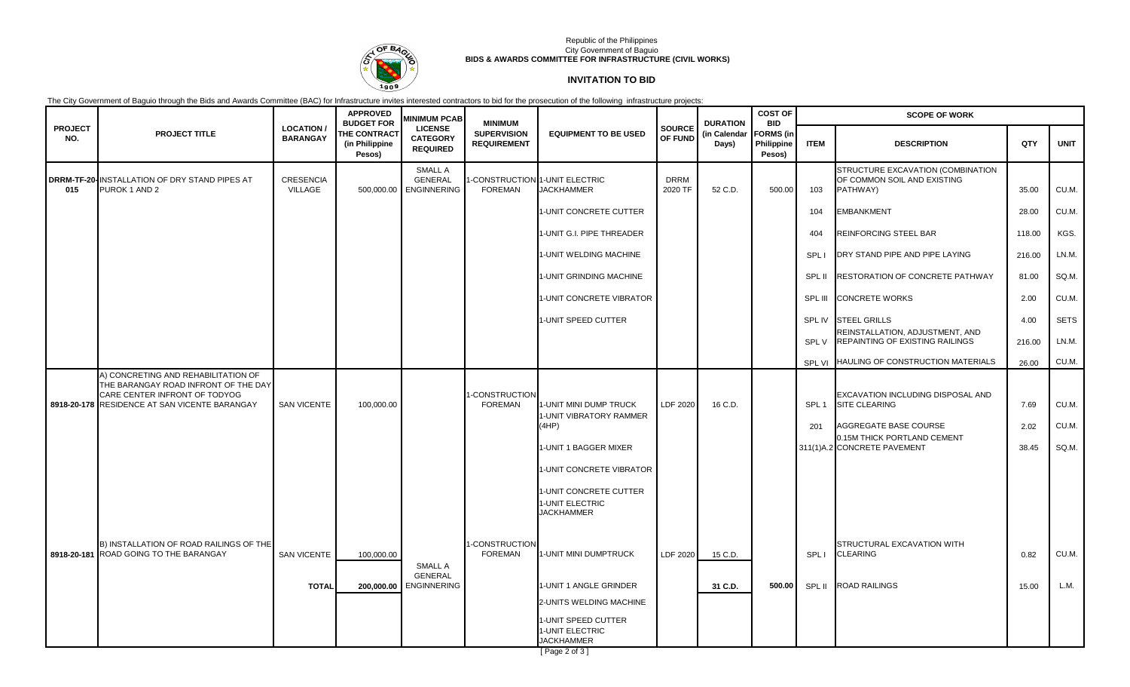

## Republic of the Philippines City Government of Baguio **BIDS & AWARDS COMMITTEE FOR INFRASTRUCTURE (CIVIL WORKS)**

# **INVITATION TO BID**

The City Government of Baguio through the Bids and Awards Committee (BAC) for Infrastructure invites interested contractors to bid for the prosecution of the following infrastructure projects:

|                       |                                                                                                                                                               |                                     | <b>APPROVED</b><br><b>BUDGET FOR</b>            | <b>MINIMUM PCAB</b>                                        | <b>MINIMUM</b>                           |                                                                |                          | <b>DURATION</b>       | <b>COST OF</b><br><b>BID</b>             | <b>SCOPE OF WORK</b>    |                                                                                    |              |                |  |
|-----------------------|---------------------------------------------------------------------------------------------------------------------------------------------------------------|-------------------------------------|-------------------------------------------------|------------------------------------------------------------|------------------------------------------|----------------------------------------------------------------|--------------------------|-----------------------|------------------------------------------|-------------------------|------------------------------------------------------------------------------------|--------------|----------------|--|
| <b>PROJECT</b><br>NO. | <b>PROJECT TITLE</b>                                                                                                                                          | <b>LOCATION/</b><br><b>BARANGAY</b> | <b>THE CONTRACT</b><br>(in Philippine<br>Pesos) | <b>LICENSE</b><br><b>CATEGORY</b><br><b>REQUIRED</b>       | <b>SUPERVISION</b><br><b>REQUIREMENT</b> | <b>EQUIPMENT TO BE USED</b>                                    | <b>SOURCE</b><br>OF FUND | (in Calendar<br>Days) | <b>FORMS</b> (in<br>Philippine<br>Pesos) | <b>ITEM</b>             | <b>DESCRIPTION</b>                                                                 | QTY          | <b>UNIT</b>    |  |
| 015                   | DRRM-TF-20-INSTALLATION OF DRY STAND PIPES AT<br>PUROK 1 AND 2                                                                                                | <b>CRESENCIA</b><br>VILLAGE         |                                                 | <b>SMALL A</b><br><b>GENERAL</b><br>500,000.00 ENGINNERING | <b>FOREMAN</b>                           | -CONSTRUCTION 1-UNIT ELECTRIC<br><b>JACKHAMMER</b>             | <b>DRRM</b><br>2020 TF   | 52 C.D.               | 500.00                                   | 103                     | STRUCTURE EXCAVATION (COMBINATION<br>OF COMMON SOIL AND EXISTING<br>PATHWAY)       | 35.00        | CU.M.          |  |
|                       |                                                                                                                                                               |                                     |                                                 |                                                            |                                          | 1-UNIT CONCRETE CUTTER                                         |                          |                       |                                          | 104                     | <b>EMBANKMENT</b>                                                                  | 28.00        | CU.M.          |  |
|                       |                                                                                                                                                               |                                     |                                                 |                                                            |                                          | 1-UNIT G.I. PIPE THREADER                                      |                          |                       |                                          | 404                     | <b>REINFORCING STEEL BAR</b>                                                       | 118.00       | KGS.           |  |
|                       |                                                                                                                                                               |                                     |                                                 |                                                            |                                          | 1-UNIT WELDING MACHINE                                         |                          |                       |                                          | SPL                     | DRY STAND PIPE AND PIPE LAYING                                                     | 216.00       | LN.M.          |  |
|                       |                                                                                                                                                               |                                     |                                                 |                                                            |                                          | 1-UNIT GRINDING MACHINE                                        |                          |                       |                                          | SPL II                  | <b>RESTORATION OF CONCRETE PATHWAY</b>                                             | 81.00        | SQ.M.          |  |
|                       |                                                                                                                                                               |                                     |                                                 |                                                            |                                          | 1-UNIT CONCRETE VIBRATOR                                       |                          |                       |                                          | SPL III                 | <b>CONCRETE WORKS</b>                                                              | 2.00         | CU.M.          |  |
|                       |                                                                                                                                                               |                                     |                                                 |                                                            |                                          | 1-UNIT SPEED CUTTER                                            |                          |                       |                                          | SPL IV                  | <b>STEEL GRILLS</b>                                                                | 4.00         | <b>SETS</b>    |  |
|                       |                                                                                                                                                               |                                     |                                                 |                                                            |                                          |                                                                |                          |                       |                                          | SPL V                   | REINSTALLATION, ADJUSTMENT, AND<br><b>REPAINTING OF EXISTING RAILINGS</b>          | 216.00       | LN.M.          |  |
|                       |                                                                                                                                                               |                                     |                                                 |                                                            |                                          |                                                                |                          |                       |                                          |                         | SPL VI HAULING OF CONSTRUCTION MATERIALS                                           | 26.00        | CU.M.          |  |
|                       | A) CONCRETING AND REHABILITATION OF<br>THE BARANGAY ROAD INFRONT OF THE DAY<br>CARE CENTER INFRONT OF TODYOG<br>8918-20-178 RESIDENCE AT SAN VICENTE BARANGAY | <b>SAN VICENTE</b>                  | 100,000.00                                      |                                                            | -CONSTRUCTION<br><b>FOREMAN</b>          | 1-UNIT MINI DUMP TRUCK<br>1-UNIT VIBRATORY RAMMER<br>(4HP)     | LDF 2020                 | 16 C.D.               |                                          | SPL <sub>1</sub><br>201 | EXCAVATION INCLUDING DISPOSAL AND<br><b>SITE CLEARING</b><br>AGGREGATE BASE COURSE | 7.69<br>2.02 | CU.M.<br>CU.M. |  |
|                       |                                                                                                                                                               |                                     |                                                 |                                                            |                                          | 1-UNIT 1 BAGGER MIXER                                          |                          |                       |                                          |                         | 0.15M THICK PORTLAND CEMENT<br>311(1)A.2 CONCRETE PAVEMENT                         | 38.45        | SQ.M.          |  |
|                       |                                                                                                                                                               |                                     |                                                 |                                                            |                                          | <b>I-UNIT CONCRETE VIBRATOR</b>                                |                          |                       |                                          |                         |                                                                                    |              |                |  |
|                       |                                                                                                                                                               |                                     |                                                 |                                                            |                                          | 1-UNIT CONCRETE CUTTER<br>1-UNIT ELECTRIC<br><b>JACKHAMMER</b> |                          |                       |                                          |                         |                                                                                    |              |                |  |
|                       | B) INSTALLATION OF ROAD RAILINGS OF THE<br>8918-20-181 ROAD GOING TO THE BARANGAY                                                                             | <b>SAN VICENTE</b>                  | 100,000.00                                      | <b>SMALL A</b>                                             | -CONSTRUCTION<br><b>FOREMAN</b>          | 1-UNIT MINI DUMPTRUCK                                          | LDF 2020                 | 15 C.D.               |                                          | SPL I                   | STRUCTURAL EXCAVATION WITH<br><b>CLEARING</b>                                      | 0.82         | CU.M.          |  |
|                       |                                                                                                                                                               | <b>TOTAL</b>                        | 200,000.00                                      | <b>GENERAL</b><br><b>ENGINNERING</b>                       |                                          | 1-UNIT 1 ANGLE GRINDER                                         |                          | 31 C.D.               | 500.00                                   | SPL II                  | <b>ROAD RAILINGS</b>                                                               | 15.00        | L.M.           |  |
|                       |                                                                                                                                                               |                                     |                                                 |                                                            |                                          | 2-UNITS WELDING MACHINE                                        |                          |                       |                                          |                         |                                                                                    |              |                |  |
|                       |                                                                                                                                                               |                                     |                                                 |                                                            |                                          | 1-UNIT SPEED CUTTER<br>1-UNIT ELECTRIC<br><b>JACKHAMMER</b>    |                          |                       |                                          |                         |                                                                                    |              |                |  |

[ Page 2 of 3 ]